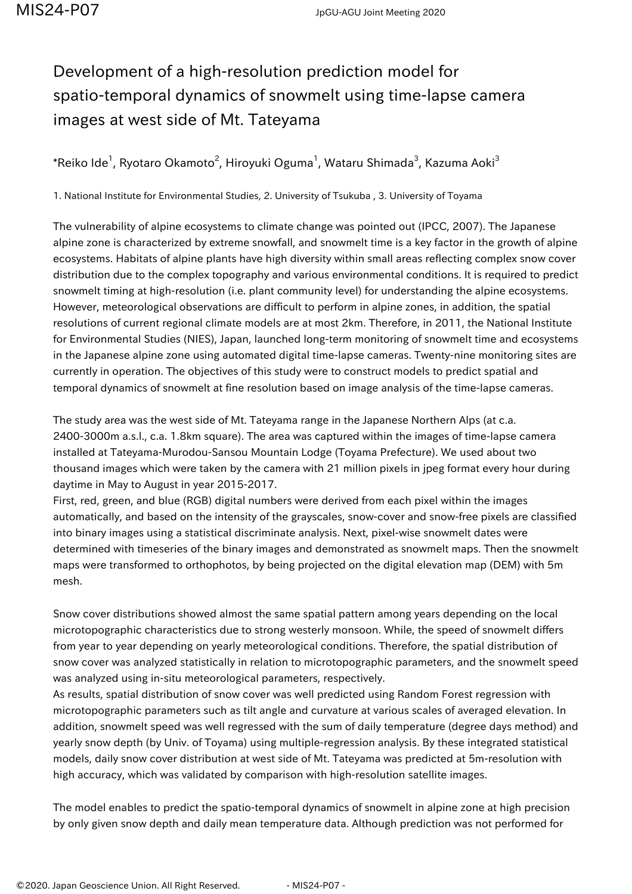## Development of a high-resolution prediction model for spatio-temporal dynamics of snowmelt using time-lapse camera images at west side of Mt. Tateyama

 $^\ast$ Reiko Ide $^1$ , Ryotaro Okamoto $^2$ , Hiroyuki Oguma $^1$ , Wataru Shimada $^3$ , Kazuma Aoki $^3$ 

1. National Institute for Environmental Studies, 2. University of Tsukuba , 3. University of Toyama

The vulnerability of alpine ecosystems to climate change was pointed out (IPCC, 2007). The Japanese alpine zone is characterized by extreme snowfall, and snowmelt time is a key factor in the growth of alpine ecosystems. Habitats of alpine plants have high diversity within small areas reflecting complex snow cover distribution due to the complex topography and various environmental conditions. It is required to predict snowmelt timing at high-resolution (i.e. plant community level) for understanding the alpine ecosystems. However, meteorological observations are difficult to perform in alpine zones, in addition, the spatial resolutions of current regional climate models are at most 2km. Therefore, in 2011, the National Institute for Environmental Studies (NIES), Japan, launched long-term monitoring of snowmelt time and ecosystems in the Japanese alpine zone using automated digital time-lapse cameras. Twenty-nine monitoring sites are currently in operation. The objectives of this study were to construct models to predict spatial and temporal dynamics of snowmelt at fine resolution based on image analysis of the time-lapse cameras.

The study area was the west side of Mt. Tateyama range in the Japanese Northern Alps (at c.a. 2400-3000m a.s.l., c.a. 1.8km square). The area was captured within the images of time-lapse camera installed at Tateyama-Murodou-Sansou Mountain Lodge (Toyama Prefecture). We used about two thousand images which were taken by the camera with 21 million pixels in jpeg format every hour during daytime in May to August in year 2015-2017.

First, red, green, and blue (RGB) digital numbers were derived from each pixel within the images automatically, and based on the intensity of the grayscales, snow-cover and snow-free pixels are classified into binary images using a statistical discriminate analysis. Next, pixel-wise snowmelt dates were determined with timeseries of the binary images and demonstrated as snowmelt maps. Then the snowmelt maps were transformed to orthophotos, by being projected on the digital elevation map (DEM) with 5m mesh.

Snow cover distributions showed almost the same spatial pattern among years depending on the local microtopographic characteristics due to strong westerly monsoon. While, the speed of snowmelt differs from year to year depending on yearly meteorological conditions. Therefore, the spatial distribution of snow cover was analyzed statistically in relation to microtopographic parameters, and the snowmelt speed was analyzed using in-situ meteorological parameters, respectively.

As results, spatial distribution of snow cover was well predicted using Random Forest regression with microtopographic parameters such as tilt angle and curvature at various scales of averaged elevation. In addition, snowmelt speed was well regressed with the sum of daily temperature (degree days method) and yearly snow depth (by Univ. of Toyama) using multiple-regression analysis. By these integrated statistical models, daily snow cover distribution at west side of Mt. Tateyama was predicted at 5m-resolution with high accuracy, which was validated by comparison with high-resolution satellite images.

The model enables to predict the spatio-temporal dynamics of snowmelt in alpine zone at high precision by only given snow depth and daily mean temperature data. Although prediction was not performed for